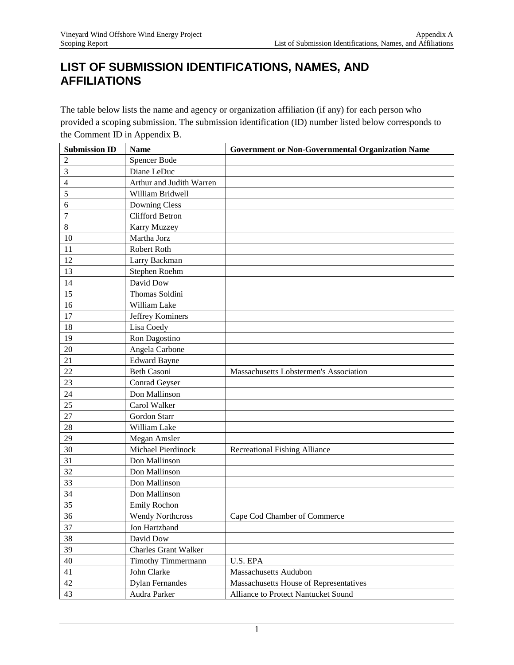## **LIST OF SUBMISSION IDENTIFICATIONS, NAMES, AND AFFILIATIONS**

The table below lists the name and agency or organization affiliation (if any) for each person who provided a scoping submission. The submission identification (ID) number listed below corresponds to the Comment ID in Appendix B.

| <b>Submission ID</b> | <b>Name</b>                 | <b>Government or Non-Governmental Organization Name</b> |
|----------------------|-----------------------------|---------------------------------------------------------|
| 2                    | Spencer Bode                |                                                         |
| 3                    | Diane LeDuc                 |                                                         |
| 4                    | Arthur and Judith Warren    |                                                         |
| 5                    | William Bridwell            |                                                         |
| 6                    | <b>Downing Cless</b>        |                                                         |
| $\overline{7}$       | <b>Clifford Betron</b>      |                                                         |
| 8                    | <b>Karry Muzzey</b>         |                                                         |
| 10                   | Martha Jorz                 |                                                         |
| 11                   | Robert Roth                 |                                                         |
| 12                   | Larry Backman               |                                                         |
| 13                   | Stephen Roehm               |                                                         |
| 14                   | David Dow                   |                                                         |
| 15                   | Thomas Soldini              |                                                         |
| 16                   | William Lake                |                                                         |
| 17                   | Jeffrey Kominers            |                                                         |
| 18                   | Lisa Coedy                  |                                                         |
| 19                   | Ron Dagostino               |                                                         |
| 20                   | Angela Carbone              |                                                         |
| 21                   | <b>Edward Bayne</b>         |                                                         |
| 22                   | <b>Beth Casoni</b>          | Massachusetts Lobstermen's Association                  |
| 23                   | Conrad Geyser               |                                                         |
| 24                   | Don Mallinson               |                                                         |
| 25                   | Carol Walker                |                                                         |
| 27                   | Gordon Starr                |                                                         |
| 28                   | William Lake                |                                                         |
| 29                   | Megan Amsler                |                                                         |
| 30                   | Michael Pierdinock          | <b>Recreational Fishing Alliance</b>                    |
| 31                   | Don Mallinson               |                                                         |
| 32                   | Don Mallinson               |                                                         |
| 33                   | Don Mallinson               |                                                         |
| 34                   | Don Mallinson               |                                                         |
| 35                   | Emily Rochon                |                                                         |
| 36                   | <b>Wendy Northcross</b>     | Cape Cod Chamber of Commerce                            |
| 37                   | Jon Hartzband               |                                                         |
| 38                   | David Dow                   |                                                         |
| 39                   | <b>Charles Grant Walker</b> |                                                         |
| 40                   | <b>Timothy Timmermann</b>   | U.S. EPA                                                |
| 41                   | John Clarke                 | <b>Massachusetts Audubon</b>                            |
| 42                   | <b>Dylan Fernandes</b>      | Massachusetts House of Representatives                  |
| 43                   | Audra Parker                | Alliance to Protect Nantucket Sound                     |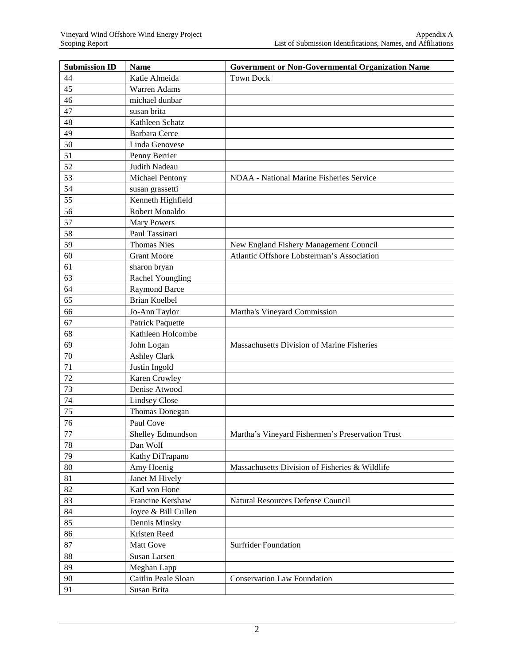| <b>Submission ID</b> | <b>Name</b>          | <b>Government or Non-Governmental Organization Name</b> |
|----------------------|----------------------|---------------------------------------------------------|
| 44                   | Katie Almeida        | <b>Town Dock</b>                                        |
| 45                   | Warren Adams         |                                                         |
| 46                   | michael dunbar       |                                                         |
| 47                   | susan brita          |                                                         |
| 48                   | Kathleen Schatz      |                                                         |
| 49                   | <b>Barbara</b> Cerce |                                                         |
| 50                   | Linda Genovese       |                                                         |
| 51                   | Penny Berrier        |                                                         |
| 52                   | Judith Nadeau        |                                                         |
| 53                   | Michael Pentony      | <b>NOAA</b> - National Marine Fisheries Service         |
| 54                   | susan grassetti      |                                                         |
| 55                   | Kenneth Highfield    |                                                         |
| 56                   | Robert Monaldo       |                                                         |
| 57                   | <b>Mary Powers</b>   |                                                         |
| 58                   | Paul Tassinari       |                                                         |
| 59                   | <b>Thomas Nies</b>   | New England Fishery Management Council                  |
| 60                   | <b>Grant Moore</b>   | Atlantic Offshore Lobsterman's Association              |
| 61                   | sharon bryan         |                                                         |
| 63                   | Rachel Youngling     |                                                         |
| 64                   | <b>Raymond Barce</b> |                                                         |
| 65                   | <b>Brian Koelbel</b> |                                                         |
| 66                   | Jo-Ann Taylor        | Martha's Vineyard Commission                            |
| 67                   | Patrick Paquette     |                                                         |
| 68                   | Kathleen Holcombe    |                                                         |
| 69                   | John Logan           | Massachusetts Division of Marine Fisheries              |
| 70                   | <b>Ashley Clark</b>  |                                                         |
| 71                   | Justin Ingold        |                                                         |
| 72                   | Karen Crowley        |                                                         |
| 73                   | Denise Atwood        |                                                         |
| 74                   | <b>Lindsey Close</b> |                                                         |
| 75                   | Thomas Donegan       |                                                         |
| 76                   | Paul Cove            |                                                         |
| $77 \,$              | Shelley Edmundson    | Martha's Vineyard Fishermen's Preservation Trust        |
| 78                   | Dan Wolf             |                                                         |
| 79                   | Kathy DiTrapano      |                                                         |
| 80                   | Amy Hoenig           | Massachusetts Division of Fisheries & Wildlife          |
| 81                   | Janet M Hively       |                                                         |
| 82                   | Karl von Hone        |                                                         |
| 83                   | Francine Kershaw     | <b>Natural Resources Defense Council</b>                |
| 84                   | Joyce & Bill Cullen  |                                                         |
| 85                   | Dennis Minsky        |                                                         |
| 86                   | Kristen Reed         |                                                         |
| 87                   | Matt Gove            | <b>Surfrider Foundation</b>                             |
| 88                   | Susan Larsen         |                                                         |
| 89                   | Meghan Lapp          |                                                         |
| 90                   | Caitlin Peale Sloan  | <b>Conservation Law Foundation</b>                      |
| 91                   | Susan Brita          |                                                         |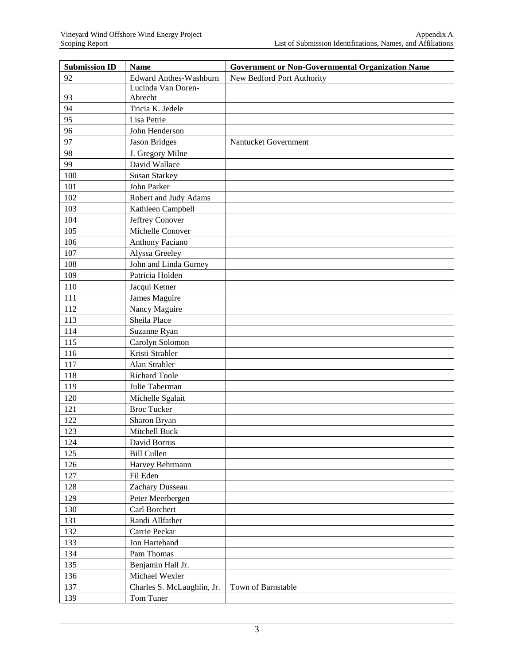| <b>Submission ID</b> | <b>Name</b>                   | <b>Government or Non-Governmental Organization Name</b> |
|----------------------|-------------------------------|---------------------------------------------------------|
| 92                   | <b>Edward Anthes-Washburn</b> | New Bedford Port Authority                              |
|                      | Lucinda Van Doren-            |                                                         |
| 93                   | Abrecht                       |                                                         |
| 94                   | Tricia K. Jedele              |                                                         |
| 95                   | Lisa Petrie                   |                                                         |
| 96                   | John Henderson                |                                                         |
| 97                   | <b>Jason Bridges</b>          | Nantucket Government                                    |
| 98                   | J. Gregory Milne              |                                                         |
| 99                   | David Wallace                 |                                                         |
| 100                  | <b>Susan Starkey</b>          |                                                         |
| 101                  | John Parker                   |                                                         |
| 102                  | Robert and Judy Adams         |                                                         |
| 103                  | Kathleen Campbell             |                                                         |
| 104                  | Jeffrey Conover               |                                                         |
| 105                  | Michelle Conover              |                                                         |
| 106                  | <b>Anthony Faciano</b>        |                                                         |
| 107                  | Alyssa Greeley                |                                                         |
| 108                  | John and Linda Gurney         |                                                         |
| 109                  | Patricia Holden               |                                                         |
| 110                  | Jacqui Ketner                 |                                                         |
| 111                  | James Maguire                 |                                                         |
| 112                  | Nancy Maguire                 |                                                         |
| 113                  | Sheila Place                  |                                                         |
| 114                  | Suzanne Ryan                  |                                                         |
| 115                  | Carolyn Solomon               |                                                         |
| 116                  | Kristi Strahler               |                                                         |
| 117                  | Alan Strahler                 |                                                         |
| 118                  | Richard Toole                 |                                                         |
| 119                  | Julie Taberman                |                                                         |
| 120                  | Michelle Sgalait              |                                                         |
| 121                  | <b>Broc Tucker</b>            |                                                         |
| 122                  | Sharon Bryan                  |                                                         |
| 123                  | Mitchell Buck                 |                                                         |
| 124                  | David Borrus                  |                                                         |
| 125                  | <b>Bill Cullen</b>            |                                                         |
| 126                  | Harvey Behrmann               |                                                         |
| 127                  | Fil Eden                      |                                                         |
| 128                  | Zachary Dusseau               |                                                         |
| 129                  | Peter Meerbergen              |                                                         |
| 130                  | Carl Borchert                 |                                                         |
| 131                  | Randi Allfather               |                                                         |
| 132                  | Carrie Peckar                 |                                                         |
| 133                  | Jon Harteband                 |                                                         |
| 134                  | Pam Thomas                    |                                                         |
| 135                  | Benjamin Hall Jr.             |                                                         |
| 136                  | Michael Wexler                |                                                         |
| 137                  | Charles S. McLaughlin, Jr.    | Town of Barnstable                                      |
| 139                  | Tom Tuner                     |                                                         |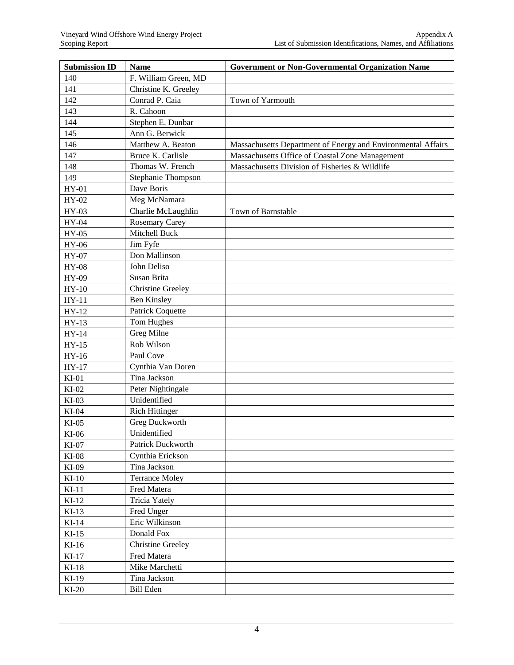| <b>Submission ID</b> | <b>Name</b>              | <b>Government or Non-Governmental Organization Name</b>      |
|----------------------|--------------------------|--------------------------------------------------------------|
| 140                  | F. William Green, MD     |                                                              |
| 141                  | Christine K. Greeley     |                                                              |
| 142                  | Conrad P. Caia           | Town of Yarmouth                                             |
| 143                  | R. Cahoon                |                                                              |
| 144                  | Stephen E. Dunbar        |                                                              |
| 145                  | Ann G. Berwick           |                                                              |
| 146                  | Matthew A. Beaton        | Massachusetts Department of Energy and Environmental Affairs |
| 147                  | Bruce K. Carlisle        | Massachusetts Office of Coastal Zone Management              |
| 148                  | Thomas W. French         | Massachusetts Division of Fisheries & Wildlife               |
| 149                  | Stephanie Thompson       |                                                              |
| $HY-01$              | Dave Boris               |                                                              |
| HY-02                | Meg McNamara             |                                                              |
| HY-03                | Charlie McLaughlin       | Town of Barnstable                                           |
| $HY-04$              | <b>Rosemary Carey</b>    |                                                              |
| $HY-05$              | Mitchell Buck            |                                                              |
| <b>HY-06</b>         | Jim Fyfe                 |                                                              |
| HY-07                | Don Mallinson            |                                                              |
| $HY-08$              | John Deliso              |                                                              |
| HY-09                | Susan Brita              |                                                              |
| $HY-10$              | <b>Christine Greeley</b> |                                                              |
| $HY-11$              | <b>Ben Kinsley</b>       |                                                              |
| $HY-12$              | <b>Patrick Coquette</b>  |                                                              |
| $HY-13$              | Tom Hughes               |                                                              |
| $HY-14$              | Greg Milne               |                                                              |
| $HY-15$              | Rob Wilson               |                                                              |
| $HY-16$              | Paul Cove                |                                                              |
| $HY-17$              | Cynthia Van Doren        |                                                              |
| $KI-01$              | Tina Jackson             |                                                              |
| $KI-02$              | Peter Nightingale        |                                                              |
| $KI-03$              | Unidentified             |                                                              |
| $KI-04$              | <b>Rich Hittinger</b>    |                                                              |
| $KI-05$              | Greg Duckworth           |                                                              |
| $KI-06$              | Unidentified             |                                                              |
| $KI-07$              | Patrick Duckworth        |                                                              |
| $KI-08$              | Cynthia Erickson         |                                                              |
| KI-09                | Tina Jackson             |                                                              |
| $KI-10$              | <b>Terrance Moley</b>    |                                                              |
| $KI-11$              | Fred Matera              |                                                              |
| $KI-12$              | <b>Tricia Yately</b>     |                                                              |
| $KI-13$              | Fred Unger               |                                                              |
| $KI-14$              | Eric Wilkinson           |                                                              |
| $KI-15$              | Donald Fox               |                                                              |
| $KI-16$              | <b>Christine Greeley</b> |                                                              |
| $KI-17$              | Fred Matera              |                                                              |
| $KI-18$              | Mike Marchetti           |                                                              |
| $KI-19$              | Tina Jackson             |                                                              |
| $KI-20$              | <b>Bill Eden</b>         |                                                              |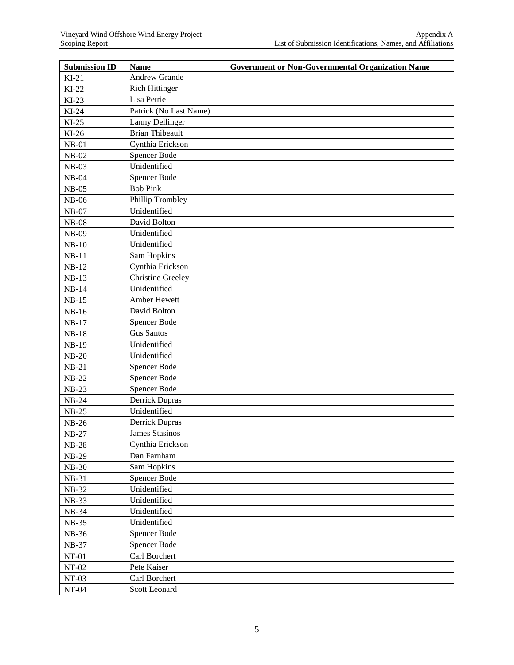| <b>Submission ID</b> | <b>Name</b>              | <b>Government or Non-Governmental Organization Name</b> |
|----------------------|--------------------------|---------------------------------------------------------|
| $KI-21$              | Andrew Grande            |                                                         |
| $KI-22$              | <b>Rich Hittinger</b>    |                                                         |
| $KI-23$              | Lisa Petrie              |                                                         |
| $KI-24$              | Patrick (No Last Name)   |                                                         |
| $KI-25$              | Lanny Dellinger          |                                                         |
| $KI-26$              | <b>Brian Thibeault</b>   |                                                         |
| $NB-01$              | Cynthia Erickson         |                                                         |
| $NB-02$              | Spencer Bode             |                                                         |
| $NB-03$              | Unidentified             |                                                         |
| $NB-04$              | Spencer Bode             |                                                         |
| $NB-05$              | <b>Bob Pink</b>          |                                                         |
| $NB-06$              | Phillip Trombley         |                                                         |
| $NB-07$              | Unidentified             |                                                         |
| $NB-08$              | David Bolton             |                                                         |
| <b>NB-09</b>         | Unidentified             |                                                         |
| $NB-10$              | Unidentified             |                                                         |
| $NB-11$              | Sam Hopkins              |                                                         |
| $NB-12$              | Cynthia Erickson         |                                                         |
| $NB-13$              | <b>Christine Greeley</b> |                                                         |
| $NB-14$              | Unidentified             |                                                         |
| $NB-15$              | Amber Hewett             |                                                         |
| $NB-16$              | David Bolton             |                                                         |
| $NB-17$              | Spencer Bode             |                                                         |
| $NB-18$              | <b>Gus Santos</b>        |                                                         |
| <b>NB-19</b>         | Unidentified             |                                                         |
| $NB-20$              | Unidentified             |                                                         |
| $NB-21$              | Spencer Bode             |                                                         |
| $NB-22$              | Spencer Bode             |                                                         |
| $NB-23$              | Spencer Bode             |                                                         |
| $NB-24$              | Derrick Dupras           |                                                         |
| $NB-25$              | Unidentified             |                                                         |
| $NB-26$              | Derrick Dupras           |                                                         |
| $NB-27$              | James Stasinos           |                                                         |
| $NB-28$              | Cynthia Erickson         |                                                         |
| <b>NB-29</b>         | Dan Farnham              |                                                         |
| <b>NB-30</b>         | Sam Hopkins              |                                                         |
| $NB-31$              | Spencer Bode             |                                                         |
| <b>NB-32</b>         | Unidentified             |                                                         |
| NB-33                | Unidentified             |                                                         |
| NB-34                | Unidentified             |                                                         |
| <b>NB-35</b>         | Unidentified             |                                                         |
| NB-36                | Spencer Bode             |                                                         |
| <b>NB-37</b>         | Spencer Bode             |                                                         |
| $NT-01$              | Carl Borchert            |                                                         |
| $NT-02$              | Pete Kaiser              |                                                         |
| $NT-03$              | Carl Borchert            |                                                         |
| $NT-04$              | Scott Leonard            |                                                         |